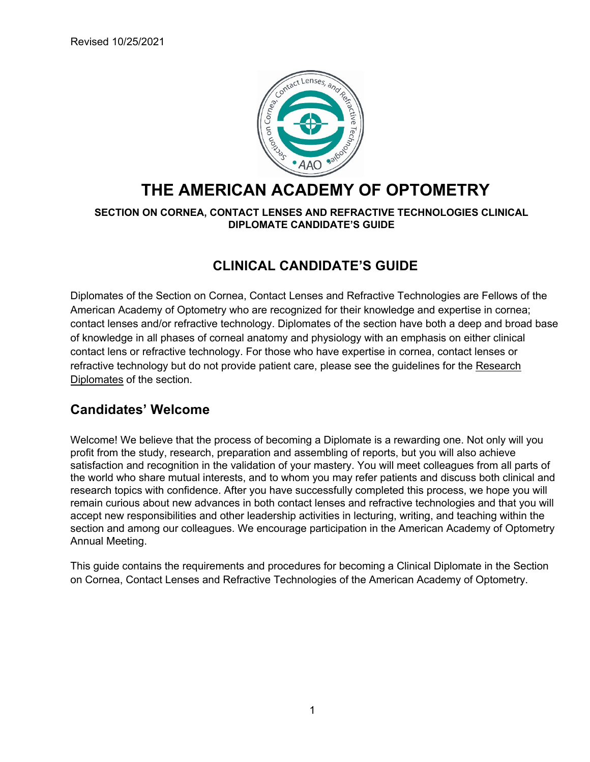

# **THE AMERICAN ACADEMY OF OPTOMETRY**

#### **SECTION ON CORNEA, CONTACT LENSES AND REFRACTIVE TECHNOLOGIES CLINICAL DIPLOMATE CANDIDATE'S GUIDE**

# **CLINICAL CANDIDATE'S GUIDE**

Diplomates of the Section on Cornea, Contact Lenses and Refractive Technologies are Fellows of the American Academy of Optometry who are recognized for their knowledge and expertise in cornea; contact lenses and/or refractive technology. Diplomates of the section have both a deep and broad base of knowledge in all phases of corneal anatomy and physiology with an emphasis on either clinical contact lens or refractive technology. For those who have expertise in cornea, contact lenses or refractive technology but do not provide patient care, please see the guidelines for the Research Diplomates of the section.

# **Candidates' Welcome**

Welcome! We believe that the process of becoming a Diplomate is a rewarding one. Not only will you profit from the study, research, preparation and assembling of reports, but you will also achieve satisfaction and recognition in the validation of your mastery. You will meet colleagues from all parts of the world who share mutual interests, and to whom you may refer patients and discuss both clinical and research topics with confidence. After you have successfully completed this process, we hope you will remain curious about new advances in both contact lenses and refractive technologies and that you will accept new responsibilities and other leadership activities in lecturing, writing, and teaching within the section and among our colleagues. We encourage participation in the American Academy of Optometry Annual Meeting.

This guide contains the requirements and procedures for becoming a Clinical Diplomate in the Section on Cornea, Contact Lenses and Refractive Technologies of the American Academy of Optometry.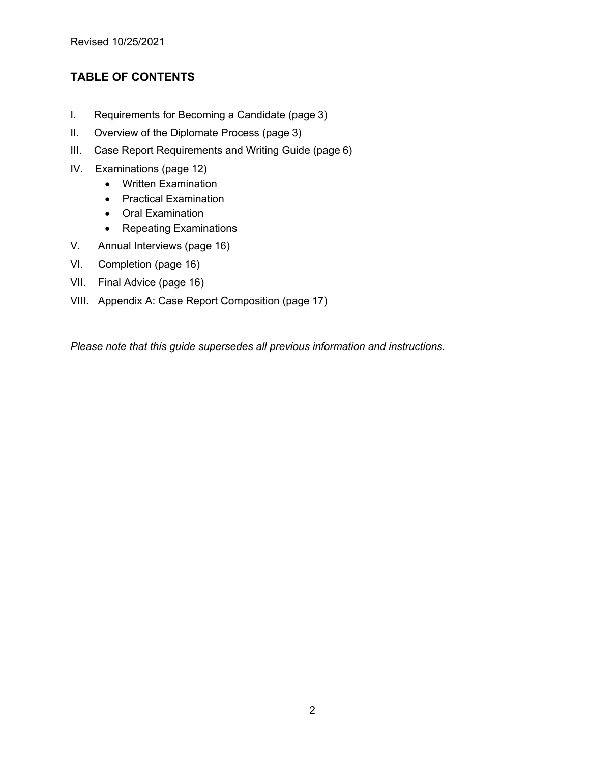### **TABLE OF CONTENTS**

- I. Requirements for Becoming a Candidate (page 3)
- II. Overview of the Diplomate Process (page 3)
- III. Case Report Requirements and Writing Guide (page 6)
- IV. Examinations (page 12)
	- Written Examination
	- Practical Examination
	- Oral Examination
	- Repeating Examinations
- V. Annual Interviews (page 16)
- VI. Completion (page 16)
- VII. Final Advice (page 16)
- VIII. Appendix A: Case Report Composition (page 17)

*Please note that this guide supersedes all previous information and instructions.*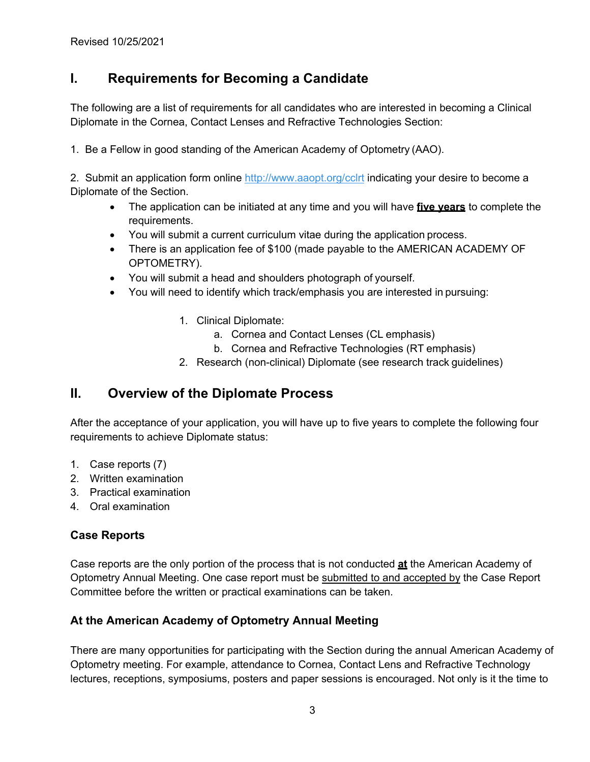# **I. Requirements for Becoming a Candidate**

The following are a list of requirements for all candidates who are interested in becoming a Clinical Diplomate in the Cornea, Contact Lenses and Refractive Technologies Section:

1. Be a Fellow in good standing of the American Academy of Optometry (AAO).

2. Submit an application form online http://www.aaopt.org/cclrt indicating your desire to become a Diplomate of the Section.

- The application can be initiated at any time and you will have **five years** to complete the requirements.
- You will submit a current curriculum vitae during the application process.
- There is an application fee of \$100 (made payable to the AMERICAN ACADEMY OF OPTOMETRY).
- You will submit a head and shoulders photograph of yourself.
- You will need to identify which track/emphasis you are interested in pursuing:
	- 1. Clinical Diplomate:
		- a. Cornea and Contact Lenses (CL emphasis)
		- b. Cornea and Refractive Technologies (RT emphasis)
	- 2. Research (non-clinical) Diplomate (see research track guidelines)

# **II. Overview of the Diplomate Process**

After the acceptance of your application, you will have up to five years to complete the following four requirements to achieve Diplomate status:

- 1. Case reports (7)
- 2. Written examination
- 3. Practical examination
- 4. Oral examination

#### **Case Reports**

Case reports are the only portion of the process that is not conducted **at** the American Academy of Optometry Annual Meeting. One case report must be submitted to and accepted by the Case Report Committee before the written or practical examinations can be taken.

#### **At the American Academy of Optometry Annual Meeting**

There are many opportunities for participating with the Section during the annual American Academy of Optometry meeting. For example, attendance to Cornea, Contact Lens and Refractive Technology lectures, receptions, symposiums, posters and paper sessions is encouraged. Not only is it the time to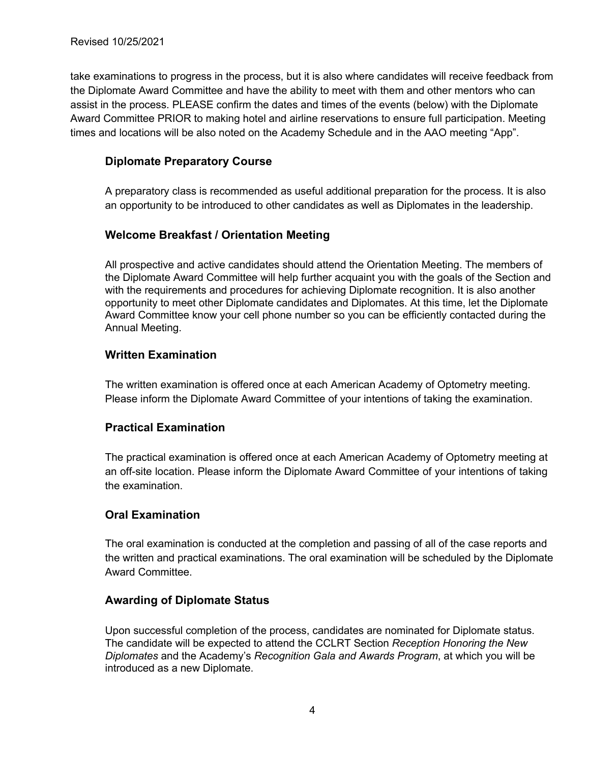take examinations to progress in the process, but it is also where candidates will receive feedback from the Diplomate Award Committee and have the ability to meet with them and other mentors who can assist in the process. PLEASE confirm the dates and times of the events (below) with the Diplomate Award Committee PRIOR to making hotel and airline reservations to ensure full participation. Meeting times and locations will be also noted on the Academy Schedule and in the AAO meeting "App".

#### **Diplomate Preparatory Course**

A preparatory class is recommended as useful additional preparation for the process. It is also an opportunity to be introduced to other candidates as well as Diplomates in the leadership.

#### **Welcome Breakfast / Orientation Meeting**

All prospective and active candidates should attend the Orientation Meeting. The members of the Diplomate Award Committee will help further acquaint you with the goals of the Section and with the requirements and procedures for achieving Diplomate recognition. It is also another opportunity to meet other Diplomate candidates and Diplomates. At this time, let the Diplomate Award Committee know your cell phone number so you can be efficiently contacted during the Annual Meeting.

#### **Written Examination**

The written examination is offered once at each American Academy of Optometry meeting. Please inform the Diplomate Award Committee of your intentions of taking the examination.

#### **Practical Examination**

The practical examination is offered once at each American Academy of Optometry meeting at an off-site location. Please inform the Diplomate Award Committee of your intentions of taking the examination.

#### **Oral Examination**

The oral examination is conducted at the completion and passing of all of the case reports and the written and practical examinations. The oral examination will be scheduled by the Diplomate Award Committee.

#### **Awarding of Diplomate Status**

Upon successful completion of the process, candidates are nominated for Diplomate status. The candidate will be expected to attend the CCLRT Section *Reception Honoring the New Diplomates* and the Academy's *Recognition Gala and Awards Program*, at which you will be introduced as a new Diplomate.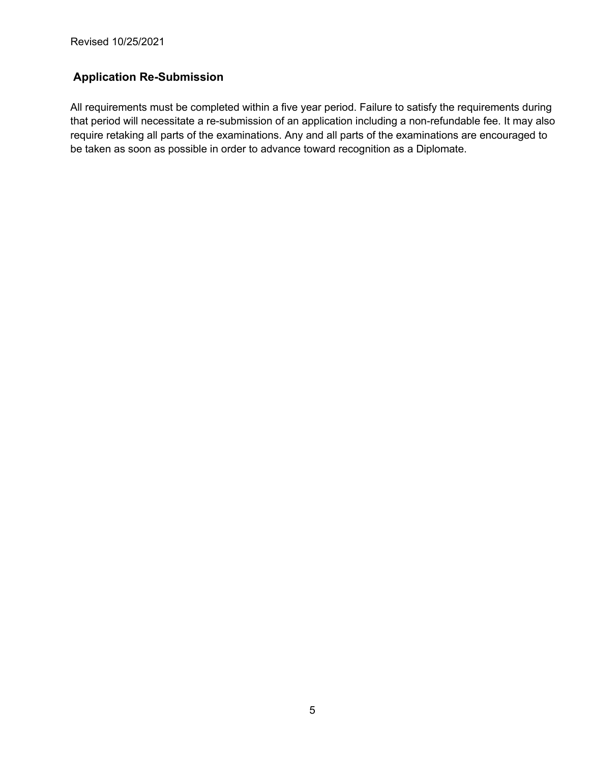### **Application Re-Submission**

All requirements must be completed within a five year period. Failure to satisfy the requirements during that period will necessitate a re-submission of an application including a non-refundable fee. It may also require retaking all parts of the examinations. Any and all parts of the examinations are encouraged to be taken as soon as possible in order to advance toward recognition as a Diplomate.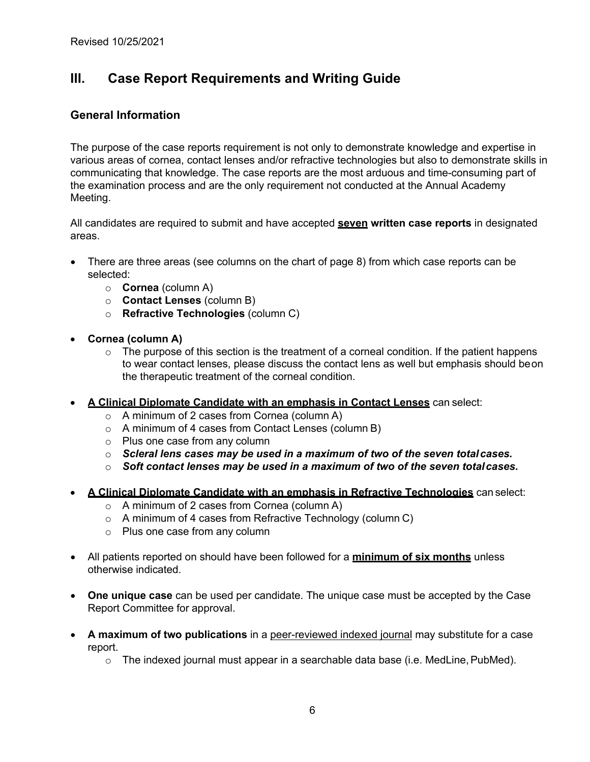# **III. Case Report Requirements and Writing Guide**

#### **General Information**

The purpose of the case reports requirement is not only to demonstrate knowledge and expertise in various areas of cornea, contact lenses and/or refractive technologies but also to demonstrate skills in communicating that knowledge. The case reports are the most arduous and time-consuming part of the examination process and are the only requirement not conducted at the Annual Academy Meeting.

All candidates are required to submit and have accepted **seven written case reports** in designated areas.

- There are three areas (see columns on the chart of page 8) from which case reports can be selected:
	- o **Cornea** (column A)
	- o **Contact Lenses** (column B)
	- o **Refractive Technologies** (column C)
- **Cornea (column A)**
	- $\circ$  The purpose of this section is the treatment of a corneal condition. If the patient happens to wear contact lenses, please discuss the contact lens as well but emphasis should beon the therapeutic treatment of the corneal condition.
- **A Clinical Diplomate Candidate with an emphasis in Contact Lenses** can select:
	- o A minimum of 2 cases from Cornea (column A)
	- o A minimum of 4 cases from Contact Lenses (column B)
	- o Plus one case from any column
	- o *Scleral lens cases may be used in a maximum of two of the seven totalcases.*
	- o *Soft contact lenses may be used in a maximum of two of the seven totalcases.*
- **A Clinical Diplomate Candidate with an emphasis in Refractive Technologies** can select:
	- o A minimum of 2 cases from Cornea (column A)
	- o A minimum of 4 cases from Refractive Technology (column C)
	- o Plus one case from any column
- All patients reported on should have been followed for a **minimum of six months** unless otherwise indicated.
- **One unique case** can be used per candidate. The unique case must be accepted by the Case Report Committee for approval.
- **A maximum of two publications** in a peer-reviewed indexed journal may substitute for a case report.
	- $\circ$  The indexed journal must appear in a searchable data base (i.e. MedLine, PubMed).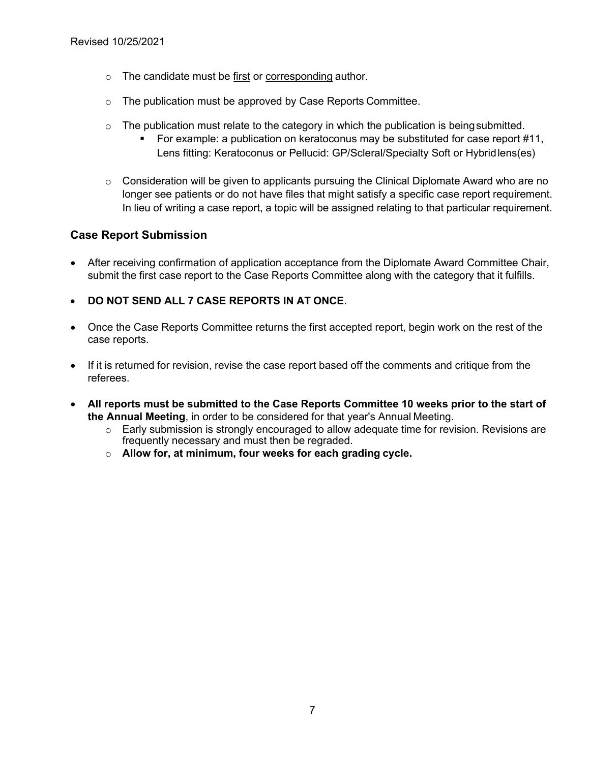- o The candidate must be first or corresponding author.
- o The publication must be approved by Case Reports Committee.
- $\circ$  The publication must relate to the category in which the publication is being submitted.
	- For example: a publication on keratoconus may be substituted for case report #11, Lens fitting: Keratoconus or Pellucid: GP/Scleral/Specialty Soft or Hybridlens(es)
- $\circ$  Consideration will be given to applicants pursuing the Clinical Diplomate Award who are no longer see patients or do not have files that might satisfy a specific case report requirement. In lieu of writing a case report, a topic will be assigned relating to that particular requirement.

#### **Case Report Submission**

- After receiving confirmation of application acceptance from the Diplomate Award Committee Chair, submit the first case report to the Case Reports Committee along with the category that it fulfills.
- **DO NOT SEND ALL 7 CASE REPORTS IN AT ONCE**.
- Once the Case Reports Committee returns the first accepted report, begin work on the rest of the case reports.
- If it is returned for revision, revise the case report based off the comments and critique from the referees.
- **All reports must be submitted to the Case Reports Committee 10 weeks prior to the start of the Annual Meeting**, in order to be considered for that year's Annual Meeting.
	- o Early submission is strongly encouraged to allow adequate time for revision. Revisions are frequently necessary and must then be regraded.
	- o **Allow for, at minimum, four weeks for each grading cycle.**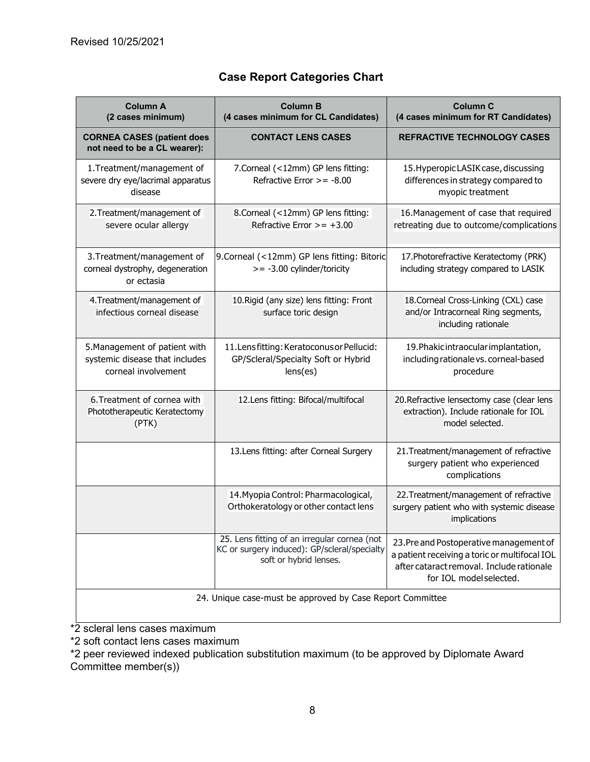# **Case Report Categories Chart**

| <b>Column A</b><br>(2 cases minimum)                                                   | <b>Column B</b><br>(4 cases minimum for CL Candidates)                                                                 | <b>Column C</b><br>(4 cases minimum for RT Candidates)                                                                                                           |
|----------------------------------------------------------------------------------------|------------------------------------------------------------------------------------------------------------------------|------------------------------------------------------------------------------------------------------------------------------------------------------------------|
| <b>CORNEA CASES (patient does</b><br>not need to be a CL wearer):                      | <b>CONTACT LENS CASES</b>                                                                                              | <b>REFRACTIVE TECHNOLOGY CASES</b>                                                                                                                               |
| 1. Treatment/management of<br>severe dry eye/lacrimal apparatus<br>disease             | 7. Corneal (<12mm) GP lens fitting:<br>Refractive Error $>= -8.00$                                                     | 15. Hyperopic LASIK case, discussing<br>differences in strategy compared to<br>myopic treatment                                                                  |
| 2. Treatment/management of<br>severe ocular allergy                                    | 8. Corneal (<12mm) GP lens fitting:<br>Refractive Error $> = +3.00$                                                    | 16. Management of case that required<br>retreating due to outcome/complications                                                                                  |
| 3. Treatment/management of<br>corneal dystrophy, degeneration<br>or ectasia            | 9. Corneal (<12mm) GP lens fitting: Bitoric<br>>= -3.00 cylinder/toricity                                              | 17. Photorefractive Keratectomy (PRK)<br>including strategy compared to LASIK                                                                                    |
| 4. Treatment/management of<br>infectious corneal disease                               | 10. Rigid (any size) lens fitting: Front<br>surface toric design                                                       | 18. Corneal Cross-Linking (CXL) case<br>and/or Intracorneal Ring segments,<br>including rationale                                                                |
| 5. Management of patient with<br>systemic disease that includes<br>corneal involvement | 11. Lens fitting: Keratoconus or Pellucid:<br>GP/Scleral/Specialty Soft or Hybrid<br>lens(es)                          | 19. Phakic intraocular implantation,<br>including rationale vs. corneal-based<br>procedure                                                                       |
| 6. Treatment of cornea with<br>Phototherapeutic Keratectomy<br>(PTK)                   | 12.Lens fitting: Bifocal/multifocal                                                                                    | 20. Refractive lensectomy case (clear lens<br>extraction). Include rationale for IOL<br>model selected.                                                          |
|                                                                                        | 13. Lens fitting: after Corneal Surgery                                                                                | 21. Treatment/management of refractive<br>surgery patient who experienced<br>complications                                                                       |
|                                                                                        | 14. Myopia Control: Pharmacological,<br>Orthokeratology or other contact lens                                          | 22. Treatment/management of refractive<br>surgery patient who with systemic disease<br>implications                                                              |
|                                                                                        | 25. Lens fitting of an irregular cornea (not<br>KC or surgery induced): GP/scleral/specialty<br>soft or hybrid lenses. | 23. Pre and Postoperative management of<br>a patient receiving a toric or multifocal IOL<br>after cataract removal. Include rationale<br>for IOL model selected. |
| 24. Unique case-must be approved by Case Report Committee                              |                                                                                                                        |                                                                                                                                                                  |

\*2 scleral lens cases maximum

\*2 soft contact lens cases maximum

\*2 peer reviewed indexed publication substitution maximum (to be approved by Diplomate Award Committee member(s))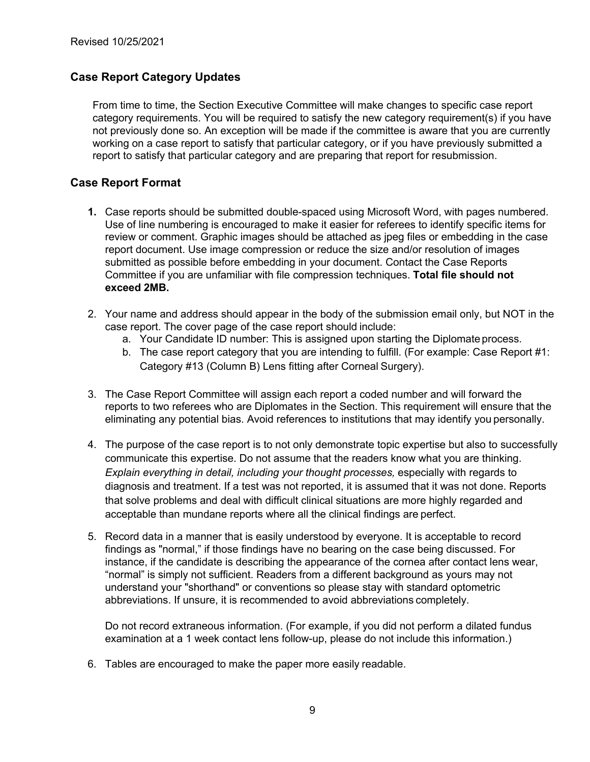#### **Case Report Category Updates**

From time to time, the Section Executive Committee will make changes to specific case report category requirements. You will be required to satisfy the new category requirement(s) if you have not previously done so. An exception will be made if the committee is aware that you are currently working on a case report to satisfy that particular category, or if you have previously submitted a report to satisfy that particular category and are preparing that report for resubmission.

#### **Case Report Format**

- **1.** Case reports should be submitted double-spaced using Microsoft Word, with pages numbered. Use of line numbering is encouraged to make it easier for referees to identify specific items for review or comment. Graphic images should be attached as jpeg files or embedding in the case report document. Use image compression or reduce the size and/or resolution of images submitted as possible before embedding in your document. Contact the Case Reports Committee if you are unfamiliar with file compression techniques. **Total file should not exceed 2MB.**
- 2. Your name and address should appear in the body of the submission email only, but NOT in the case report. The cover page of the case report should include:
	- a. Your Candidate ID number: This is assigned upon starting the Diplomate process.
	- b. The case report category that you are intending to fulfill. (For example: Case Report #1: Category #13 (Column B) Lens fitting after Corneal Surgery).
- 3. The Case Report Committee will assign each report a coded number and will forward the reports to two referees who are Diplomates in the Section. This requirement will ensure that the eliminating any potential bias. Avoid references to institutions that may identify you personally.
- 4. The purpose of the case report is to not only demonstrate topic expertise but also to successfully communicate this expertise. Do not assume that the readers know what you are thinking. *Explain everything in detail, including your thought processes,* especially with regards to diagnosis and treatment. If a test was not reported, it is assumed that it was not done. Reports that solve problems and deal with difficult clinical situations are more highly regarded and acceptable than mundane reports where all the clinical findings are perfect.
- 5. Record data in a manner that is easily understood by everyone. It is acceptable to record findings as "normal," if those findings have no bearing on the case being discussed. For instance, if the candidate is describing the appearance of the cornea after contact lens wear, "normal" is simply not sufficient. Readers from a different background as yours may not understand your "shorthand" or conventions so please stay with standard optometric abbreviations. If unsure, it is recommended to avoid abbreviations completely.

Do not record extraneous information. (For example, if you did not perform a dilated fundus examination at a 1 week contact lens follow-up, please do not include this information.)

6. Tables are encouraged to make the paper more easily readable.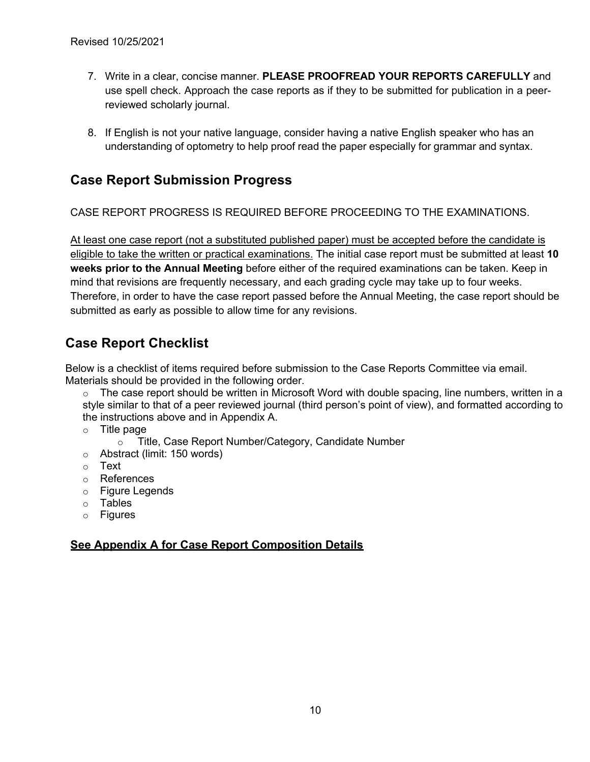- 7. Write in a clear, concise manner. **PLEASE PROOFREAD YOUR REPORTS CAREFULLY** and use spell check. Approach the case reports as if they to be submitted for publication in a peerreviewed scholarly journal.
- 8. If English is not your native language, consider having a native English speaker who has an understanding of optometry to help proof read the paper especially for grammar and syntax.

### **Case Report Submission Progress**

CASE REPORT PROGRESS IS REQUIRED BEFORE PROCEEDING TO THE EXAMINATIONS.

At least one case report (not a substituted published paper) must be accepted before the candidate is eligible to take the written or practical examinations. The initial case report must be submitted at least **10 weeks prior to the Annual Meeting** before either of the required examinations can be taken. Keep in mind that revisions are frequently necessary, and each grading cycle may take up to four weeks. Therefore, in order to have the case report passed before the Annual Meeting, the case report should be submitted as early as possible to allow time for any revisions.

# **Case Report Checklist**

Below is a checklist of items required before submission to the Case Reports Committee via email. Materials should be provided in the following order.

 $\circ$  The case report should be written in Microsoft Word with double spacing, line numbers, written in a style similar to that of a peer reviewed journal (third person's point of view), and formatted according to the instructions above and in Appendix A.

o Title page

- o Title, Case Report Number/Category, Candidate Number
- o Abstract (limit: 150 words)
- o Text
- o References
- o Figure Legends
- o Tables
- o Figures

#### **See Appendix A for Case Report Composition Details**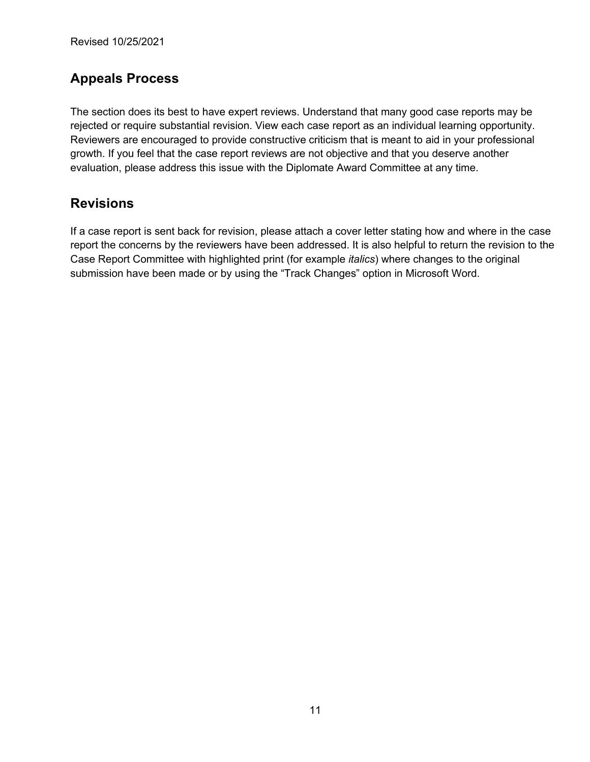# **Appeals Process**

The section does its best to have expert reviews. Understand that many good case reports may be rejected or require substantial revision. View each case report as an individual learning opportunity. Reviewers are encouraged to provide constructive criticism that is meant to aid in your professional growth. If you feel that the case report reviews are not objective and that you deserve another evaluation, please address this issue with the Diplomate Award Committee at any time.

### **Revisions**

If a case report is sent back for revision, please attach a cover letter stating how and where in the case report the concerns by the reviewers have been addressed. It is also helpful to return the revision to the Case Report Committee with highlighted print (for example *italics*) where changes to the original submission have been made or by using the "Track Changes" option in Microsoft Word.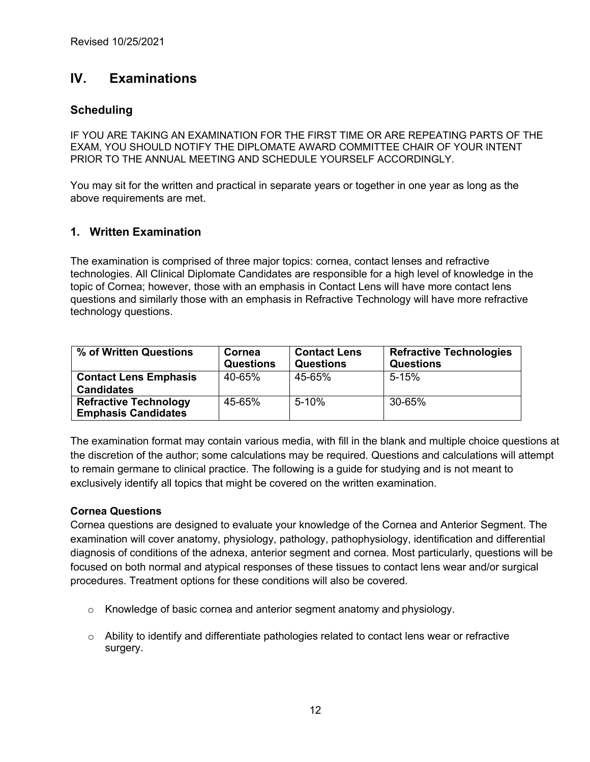# **IV. Examinations**

#### **Scheduling**

IF YOU ARE TAKING AN EXAMINATION FOR THE FIRST TIME OR ARE REPEATING PARTS OF THE EXAM, YOU SHOULD NOTIFY THE DIPLOMATE AWARD COMMITTEE CHAIR OF YOUR INTENT PRIOR TO THE ANNUAL MEETING AND SCHEDULE YOURSELF ACCORDINGLY.

You may sit for the written and practical in separate years or together in one year as long as the above requirements are met.

#### **1. Written Examination**

The examination is comprised of three major topics: cornea, contact lenses and refractive technologies. All Clinical Diplomate Candidates are responsible for a high level of knowledge in the topic of Cornea; however, those with an emphasis in Contact Lens will have more contact lens questions and similarly those with an emphasis in Refractive Technology will have more refractive technology questions.

| % of Written Questions                                     | Cornea<br><b>Questions</b> | <b>Contact Lens</b><br><b>Questions</b> | <b>Refractive Technologies</b><br><b>Questions</b> |
|------------------------------------------------------------|----------------------------|-----------------------------------------|----------------------------------------------------|
| <b>Contact Lens Emphasis</b><br><b>Candidates</b>          | 40-65%                     | 45-65%                                  | $5 - 15%$                                          |
| <b>Refractive Technology</b><br><b>Emphasis Candidates</b> | 45-65%                     | $5 - 10%$                               | $30 - 65%$                                         |

The examination format may contain various media, with fill in the blank and multiple choice questions at the discretion of the author; some calculations may be required. Questions and calculations will attempt to remain germane to clinical practice. The following is a guide for studying and is not meant to exclusively identify all topics that might be covered on the written examination.

#### **Cornea Questions**

Cornea questions are designed to evaluate your knowledge of the Cornea and Anterior Segment. The examination will cover anatomy, physiology, pathology, pathophysiology, identification and differential diagnosis of conditions of the adnexa, anterior segment and cornea. Most particularly, questions will be focused on both normal and atypical responses of these tissues to contact lens wear and/or surgical procedures. Treatment options for these conditions will also be covered.

- $\circ$  Knowledge of basic cornea and anterior segment anatomy and physiology.
- $\circ$  Ability to identify and differentiate pathologies related to contact lens wear or refractive surgery.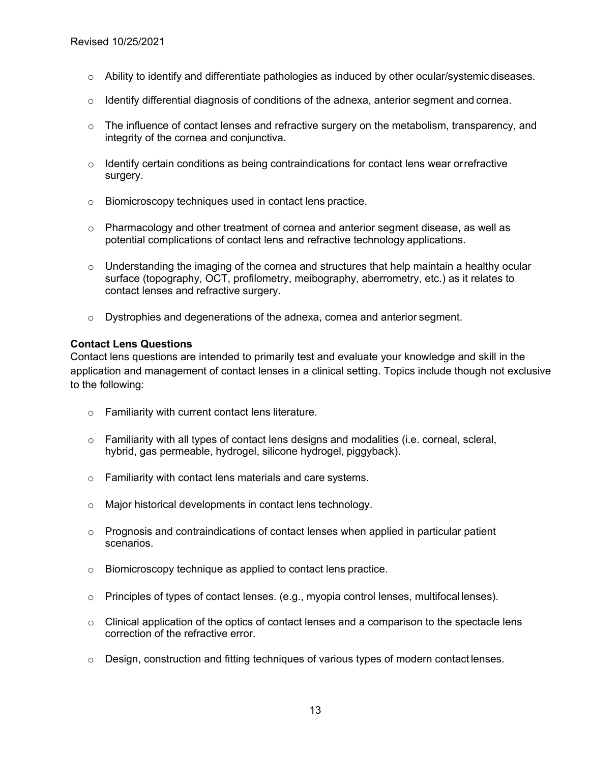- $\circ$  Ability to identify and differentiate pathologies as induced by other ocular/systemic diseases.
- o Identify differential diagnosis of conditions of the adnexa, anterior segment and cornea.
- $\circ$  The influence of contact lenses and refractive surgery on the metabolism, transparency, and integrity of the cornea and conjunctiva.
- $\circ$  Identify certain conditions as being contraindications for contact lens wear orrefractive surgery.
- o Biomicroscopy techniques used in contact lens practice.
- $\circ$  Pharmacology and other treatment of cornea and anterior segment disease, as well as potential complications of contact lens and refractive technology applications.
- $\circ$  Understanding the imaging of the cornea and structures that help maintain a healthy ocular surface (topography, OCT, profilometry, meibography, aberrometry, etc.) as it relates to contact lenses and refractive surgery.
- $\circ$  Dystrophies and degenerations of the adnexa, cornea and anterior segment.

#### **Contact Lens Questions**

Contact lens questions are intended to primarily test and evaluate your knowledge and skill in the application and management of contact lenses in a clinical setting. Topics include though not exclusive to the following:

- o Familiarity with current contact lens literature.
- $\circ$  Familiarity with all types of contact lens designs and modalities (i.e. corneal, scleral, hybrid, gas permeable, hydrogel, silicone hydrogel, piggyback).
- o Familiarity with contact lens materials and care systems.
- o Major historical developments in contact lens technology.
- $\circ$  Prognosis and contraindications of contact lenses when applied in particular patient scenarios.
- o Biomicroscopy technique as applied to contact lens practice.
- $\circ$  Principles of types of contact lenses. (e.g., myopia control lenses, multifocal lenses).
- $\circ$  Clinical application of the optics of contact lenses and a comparison to the spectacle lens correction of the refractive error.
- $\circ$  Design, construction and fitting techniques of various types of modern contact lenses.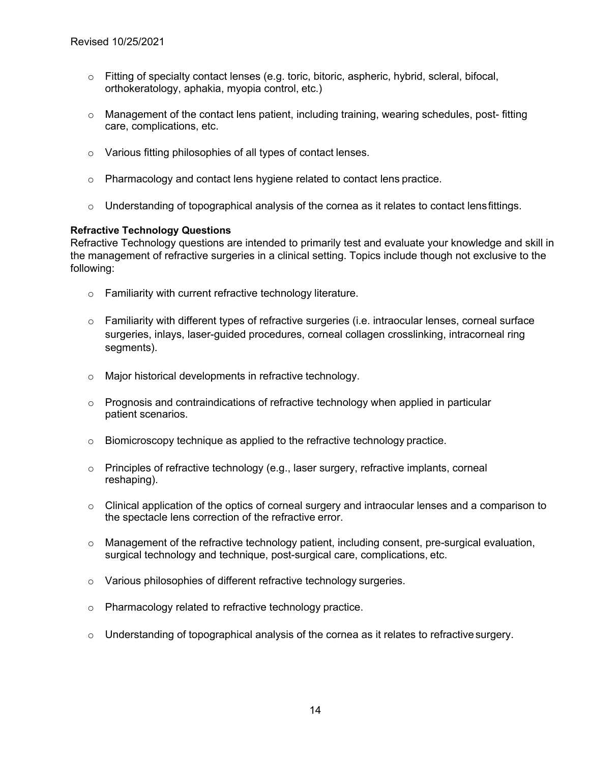- $\circ$  Fitting of specialty contact lenses (e.g. toric, bitoric, aspheric, hybrid, scleral, bifocal, orthokeratology, aphakia, myopia control, etc.)
- $\circ$  Management of the contact lens patient, including training, wearing schedules, post- fitting care, complications, etc.
- o Various fitting philosophies of all types of contact lenses.
- $\circ$  Pharmacology and contact lens hygiene related to contact lens practice.
- $\circ$  Understanding of topographical analysis of the cornea as it relates to contact lensfittings.

#### **Refractive Technology Questions**

Refractive Technology questions are intended to primarily test and evaluate your knowledge and skill in the management of refractive surgeries in a clinical setting. Topics include though not exclusive to the following:

- o Familiarity with current refractive technology literature.
- $\circ$  Familiarity with different types of refractive surgeries (i.e. intraocular lenses, corneal surface surgeries, inlays, laser-guided procedures, corneal collagen crosslinking, intracorneal ring segments).
- o Major historical developments in refractive technology.
- $\circ$  Prognosis and contraindications of refractive technology when applied in particular patient scenarios.
- o Biomicroscopy technique as applied to the refractive technology practice.
- $\circ$  Principles of refractive technology (e.g., laser surgery, refractive implants, corneal reshaping).
- $\circ$  Clinical application of the optics of corneal surgery and intraocular lenses and a comparison to the spectacle lens correction of the refractive error.
- $\circ$  Management of the refractive technology patient, including consent, pre-surgical evaluation, surgical technology and technique, post-surgical care, complications, etc.
- o Various philosophies of different refractive technology surgeries.
- o Pharmacology related to refractive technology practice.
- $\circ$  Understanding of topographical analysis of the cornea as it relates to refractive surgery.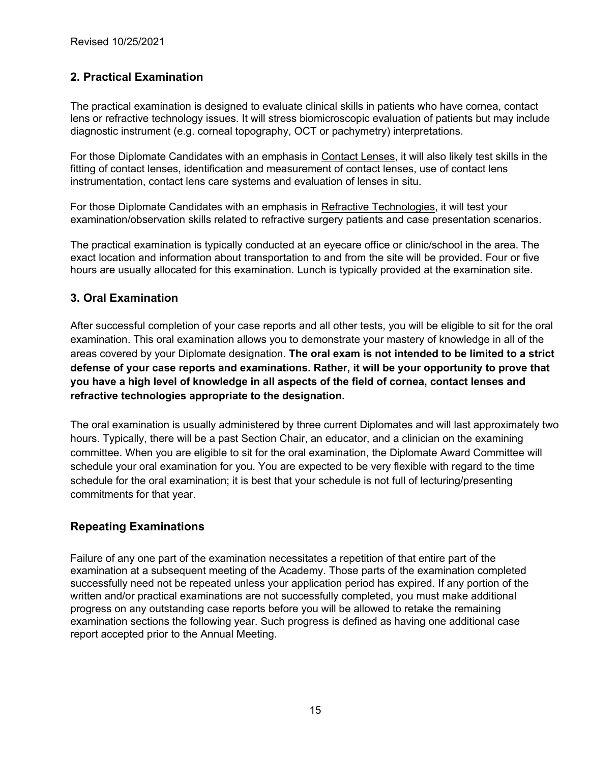#### **2. Practical Examination**

The practical examination is designed to evaluate clinical skills in patients who have cornea, contact lens or refractive technology issues. It will stress biomicroscopic evaluation of patients but may include diagnostic instrument (e.g. corneal topography, OCT or pachymetry) interpretations.

For those Diplomate Candidates with an emphasis in Contact Lenses, it will also likely test skills in the fitting of contact lenses, identification and measurement of contact lenses, use of contact lens instrumentation, contact lens care systems and evaluation of lenses in situ.

For those Diplomate Candidates with an emphasis in Refractive Technologies, it will test your examination/observation skills related to refractive surgery patients and case presentation scenarios.

The practical examination is typically conducted at an eyecare office or clinic/school in the area. The exact location and information about transportation to and from the site will be provided. Four or five hours are usually allocated for this examination. Lunch is typically provided at the examination site.

#### **3. Oral Examination**

After successful completion of your case reports and all other tests, you will be eligible to sit for the oral examination. This oral examination allows you to demonstrate your mastery of knowledge in all of the areas covered by your Diplomate designation. **The oral exam is not intended to be limited to a strict defense of your case reports and examinations. Rather, it will be your opportunity to prove that you have a high level of knowledge in all aspects of the field of cornea, contact lenses and refractive technologies appropriate to the designation.**

The oral examination is usually administered by three current Diplomates and will last approximately two hours. Typically, there will be a past Section Chair, an educator, and a clinician on the examining committee. When you are eligible to sit for the oral examination, the Diplomate Award Committee will schedule your oral examination for you. You are expected to be very flexible with regard to the time schedule for the oral examination; it is best that your schedule is not full of lecturing/presenting commitments for that year.

#### **Repeating Examinations**

Failure of any one part of the examination necessitates a repetition of that entire part of the examination at a subsequent meeting of the Academy. Those parts of the examination completed successfully need not be repeated unless your application period has expired. If any portion of the written and/or practical examinations are not successfully completed, you must make additional progress on any outstanding case reports before you will be allowed to retake the remaining examination sections the following year. Such progress is defined as having one additional case report accepted prior to the Annual Meeting.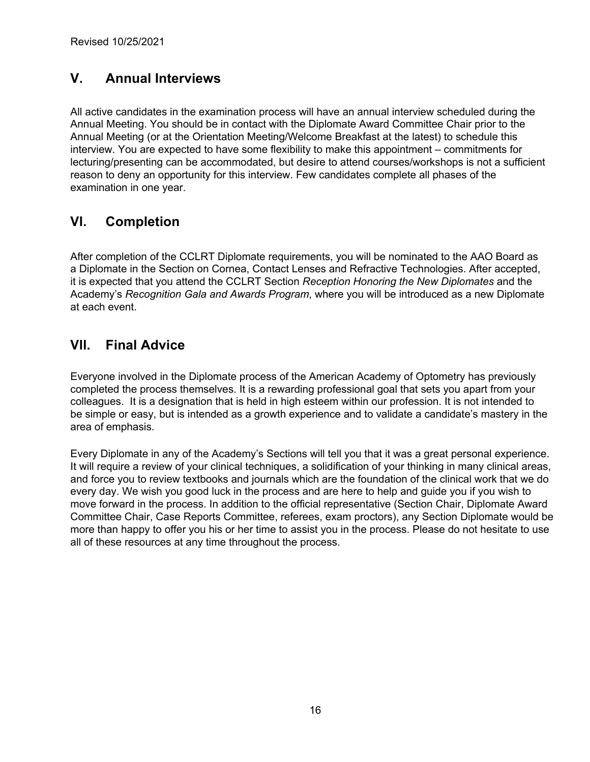# **V. Annual Interviews**

All active candidates in the examination process will have an annual interview scheduled during the Annual Meeting. You should be in contact with the Diplomate Award Committee Chair prior to the Annual Meeting (or at the Orientation Meeting/Welcome Breakfast at the latest) to schedule this interview. You are expected to have some flexibility to make this appointment – commitments for lecturing/presenting can be accommodated, but desire to attend courses/workshops is not a sufficient reason to deny an opportunity for this interview. Few candidates complete all phases of the examination in one year.

# **VI. Completion**

After completion of the CCLRT Diplomate requirements, you will be nominated to the AAO Board as a Diplomate in the Section on Cornea, Contact Lenses and Refractive Technologies. After accepted, it is expected that you attend the CCLRT Section *Reception Honoring the New Diplomates* and the Academy's *Recognition Gala and Awards Program*, where you will be introduced as a new Diplomate at each event.

### **VII. Final Advice**

Everyone involved in the Diplomate process of the American Academy of Optometry has previously completed the process themselves. It is a rewarding professional goal that sets you apart from your colleagues. It is a designation that is held in high esteem within our profession. It is not intended to be simple or easy, but is intended as a growth experience and to validate a candidate's mastery in the area of emphasis.

Every Diplomate in any of the Academy's Sections will tell you that it was a great personal experience. It will require a review of your clinical techniques, a solidification of your thinking in many clinical areas, and force you to review textbooks and journals which are the foundation of the clinical work that we do every day. We wish you good luck in the process and are here to help and guide you if you wish to move forward in the process. In addition to the official representative (Section Chair, Diplomate Award Committee Chair, Case Reports Committee, referees, exam proctors), any Section Diplomate would be more than happy to offer you his or her time to assist you in the process. Please do not hesitate to use all of these resources at any time throughout the process.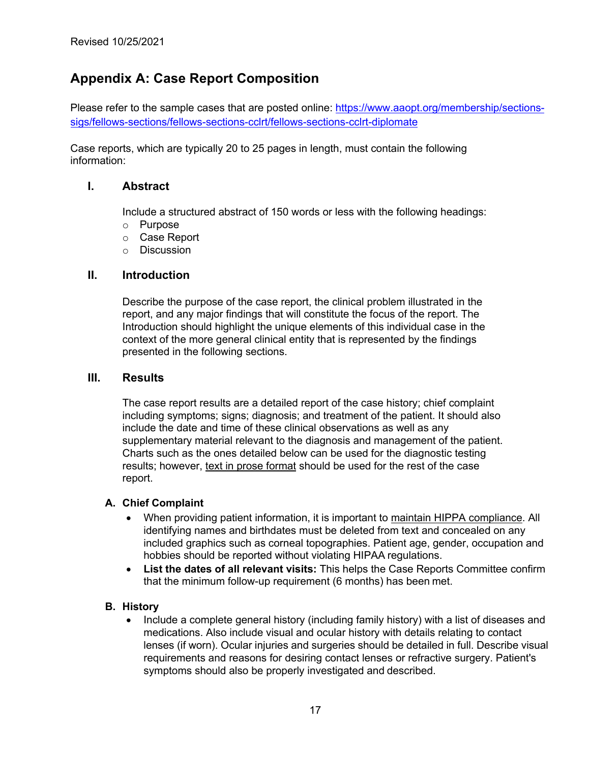# **Appendix A: Case Report Composition**

Please refer to the sample cases that are posted online: https://www.aaopt.org/membership/sectionssigs/fellows-sections/fellows-sections-cclrt/fellows-sections-cclrt-diplomate

Case reports, which are typically 20 to 25 pages in length, must contain the following information:

#### **I. Abstract**

Include a structured abstract of 150 words or less with the following headings:

- o Purpose
- o Case Report
- o Discussion

#### **II. Introduction**

Describe the purpose of the case report, the clinical problem illustrated in the report, and any major findings that will constitute the focus of the report. The Introduction should highlight the unique elements of this individual case in the context of the more general clinical entity that is represented by the findings presented in the following sections.

#### **III. Results**

The case report results are a detailed report of the case history; chief complaint including symptoms; signs; diagnosis; and treatment of the patient. It should also include the date and time of these clinical observations as well as any supplementary material relevant to the diagnosis and management of the patient. Charts such as the ones detailed below can be used for the diagnostic testing results; however, text in prose format should be used for the rest of the case report.

#### **A. Chief Complaint**

- When providing patient information, it is important to maintain HIPPA compliance. All identifying names and birthdates must be deleted from text and concealed on any included graphics such as corneal topographies. Patient age, gender, occupation and hobbies should be reported without violating HIPAA regulations.
- **List the dates of all relevant visits:** This helps the Case Reports Committee confirm that the minimum follow-up requirement (6 months) has been met.

#### **B. History**

• Include a complete general history (including family history) with a list of diseases and medications. Also include visual and ocular history with details relating to contact lenses (if worn). Ocular injuries and surgeries should be detailed in full. Describe visual requirements and reasons for desiring contact lenses or refractive surgery. Patient's symptoms should also be properly investigated and described.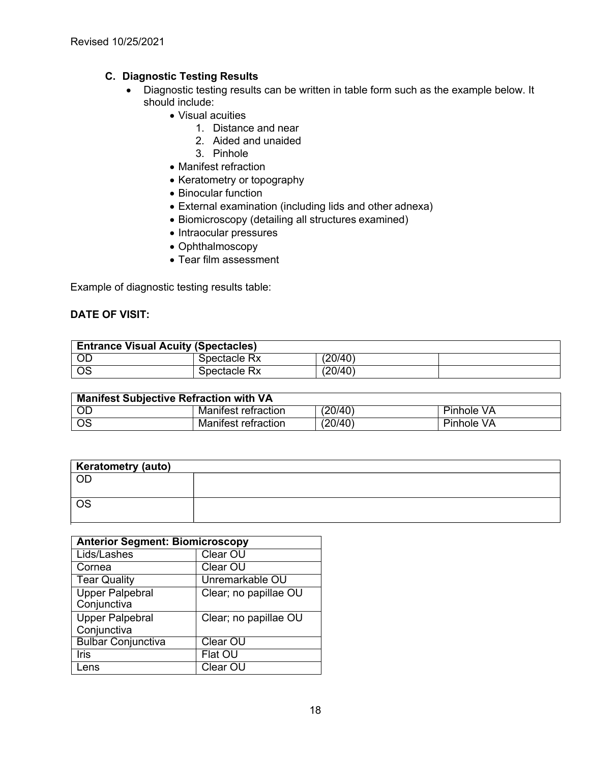#### **C. Diagnostic Testing Results**

- Diagnostic testing results can be written in table form such as the example below. It should include:
	- Visual acuities
		- 1. Distance and near
		- 2. Aided and unaided
		- 3. Pinhole
	- Manifest refraction
	- Keratometry or topography
	- Binocular function
	- External examination (including lids and other adnexa)
	- Biomicroscopy (detailing all structures examined)
	- Intraocular pressures
	- Ophthalmoscopy
	- Tear film assessment

Example of diagnostic testing results table:

#### **DATE OF VISIT:**

| <b>Entrance Visual Acuity (Spectacles)</b> |              |         |  |
|--------------------------------------------|--------------|---------|--|
| $\overline{O}$                             | Spectacle Rx | (20/40) |  |
| <b>OS</b>                                  | Spectacle Rx | (20/40) |  |

| <b>Manifest Subjective Refraction with VA</b> |                     |         |            |
|-----------------------------------------------|---------------------|---------|------------|
| OD.                                           | Manifest refraction | (20/40) | Pinhole VA |
|                                               | Manifest refraction | (20/40) | Pinhole VA |

| Keratometry (auto) |  |
|--------------------|--|
| OD                 |  |
|                    |  |
| <b>OS</b>          |  |
|                    |  |

| <b>Anterior Segment: Biomicroscopy</b> |                       |  |
|----------------------------------------|-----------------------|--|
| Lids/Lashes                            | Clear OU              |  |
| Cornea                                 | Clear OU              |  |
| <b>Tear Quality</b>                    | Unremarkable OU       |  |
| <b>Upper Palpebral</b><br>Conjunctiva  | Clear; no papillae OU |  |
| <b>Upper Palpebral</b>                 | Clear; no papillae OU |  |
| Conjunctiva                            |                       |  |
| <b>Bulbar Conjunctiva</b>              | Clear OU              |  |
| Iris                                   | Flat OU               |  |
| Lens                                   | Clear OU              |  |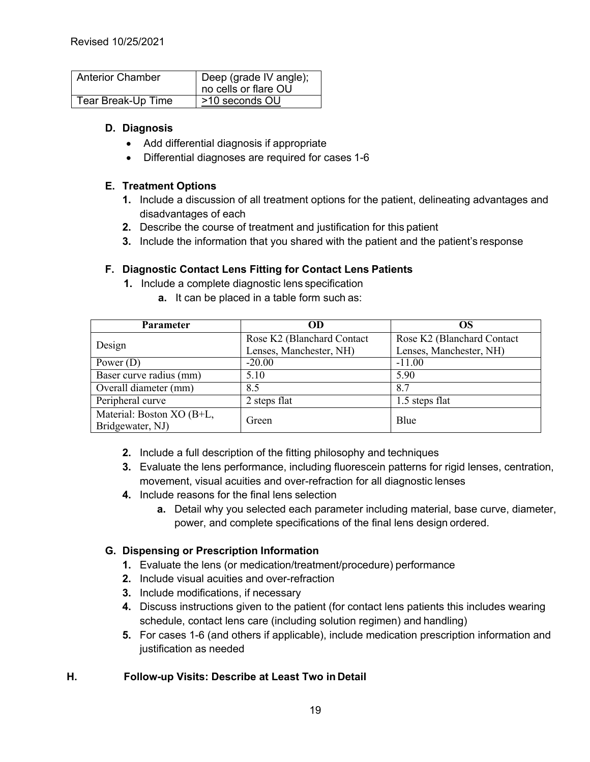| <b>Anterior Chamber</b> | Deep (grade IV angle);<br>no cells or flare OU |  |
|-------------------------|------------------------------------------------|--|
| Tear Break-Up Time      | >10 seconds OU                                 |  |

#### **D. Diagnosis**

- Add differential diagnosis if appropriate
- Differential diagnoses are required for cases 1-6

#### **E. Treatment Options**

- **1.** Include a discussion of all treatment options for the patient, delineating advantages and disadvantages of each
- **2.** Describe the course of treatment and justification for this patient
- **3.** Include the information that you shared with the patient and the patient's response

#### **F. Diagnostic Contact Lens Fitting for Contact Lens Patients**

- **1.** Include a complete diagnostic lens specification
	- **a.** It can be placed in a table form such as:

| <b>Parameter</b>          | OD                         | OS                         |
|---------------------------|----------------------------|----------------------------|
| Design                    | Rose K2 (Blanchard Contact | Rose K2 (Blanchard Contact |
|                           | Lenses, Manchester, NH)    | Lenses, Manchester, NH)    |
| Power $(D)$               | $-20.00$                   | $-11.00$                   |
| Baser curve radius (mm)   | 5.10                       | 5.90                       |
| Overall diameter (mm)     | 8.5                        | 8.7                        |
| Peripheral curve          | 2 steps flat               | 1.5 steps flat             |
| Material: Boston XO (B+L, |                            | Blue                       |
| Bridgewater, NJ)          | Green                      |                            |

- **2.** Include a full description of the fitting philosophy and techniques
- **3.** Evaluate the lens performance, including fluorescein patterns for rigid lenses, centration, movement, visual acuities and over-refraction for all diagnostic lenses
- **4.** Include reasons for the final lens selection
	- **a.** Detail why you selected each parameter including material, base curve, diameter, power, and complete specifications of the final lens design ordered.

#### **G. Dispensing or Prescription Information**

- **1.** Evaluate the lens (or medication/treatment/procedure) performance
- **2.** Include visual acuities and over-refraction
- **3.** Include modifications, if necessary
- **4.** Discuss instructions given to the patient (for contact lens patients this includes wearing schedule, contact lens care (including solution regimen) and handling)
- **5.** For cases 1-6 (and others if applicable), include medication prescription information and justification as needed

#### **H. Follow-up Visits: Describe at Least Two in Detail**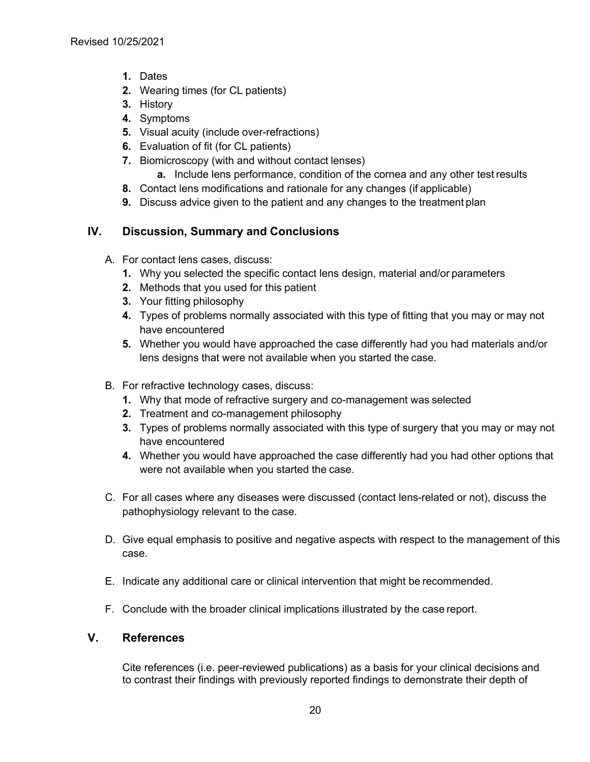- **1.** Dates
- **2.** Wearing times (for CL patients)
- **3.** History
- **4.** Symptoms
- **5.** Visual acuity (include over-refractions)
- **6.** Evaluation of fit (for CL patients)
- **7.** Biomicroscopy (with and without contact lenses)
	- **a.** Include lens performance, condition of the cornea and any other test results
- **8.** Contact lens modifications and rationale for any changes (if applicable)
- **9.** Discuss advice given to the patient and any changes to the treatment plan

#### **IV. Discussion, Summary and Conclusions**

- A. For contact lens cases, discuss:
	- **1.** Why you selected the specific contact lens design, material and/or parameters
	- **2.** Methods that you used for this patient
	- **3.** Your fitting philosophy
	- **4.** Types of problems normally associated with this type of fitting that you may or may not have encountered
	- **5.** Whether you would have approached the case differently had you had materials and/or lens designs that were not available when you started the case.
- B. For refractive technology cases, discuss:
	- **1.** Why that mode of refractive surgery and co-management was selected
	- **2.** Treatment and co-management philosophy
	- **3.** Types of problems normally associated with this type of surgery that you may or may not have encountered
	- **4.** Whether you would have approached the case differently had you had other options that were not available when you started the case.
- C. For all cases where any diseases were discussed (contact lens-related or not), discuss the pathophysiology relevant to the case.
- D. Give equal emphasis to positive and negative aspects with respect to the management of this case.
- E. Indicate any additional care or clinical intervention that might be recommended.
- F. Conclude with the broader clinical implications illustrated by the case report.

#### **V. References**

Cite references (i.e. peer-reviewed publications) as a basis for your clinical decisions and to contrast their findings with previously reported findings to demonstrate their depth of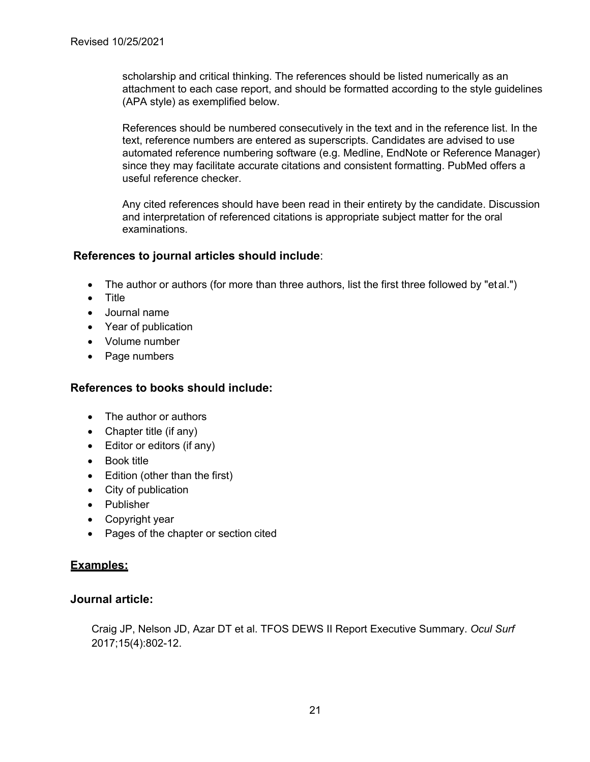scholarship and critical thinking. The references should be listed numerically as an attachment to each case report, and should be formatted according to the style guidelines (APA style) as exemplified below.

References should be numbered consecutively in the text and in the reference list. In the text, reference numbers are entered as superscripts. Candidates are advised to use automated reference numbering software (e.g. Medline, EndNote or Reference Manager) since they may facilitate accurate citations and consistent formatting. PubMed offers a useful reference checker.

Any cited references should have been read in their entirety by the candidate. Discussion and interpretation of referenced citations is appropriate subject matter for the oral examinations.

#### **References to journal articles should include**:

- The author or authors (for more than three authors, list the first three followed by "etal.")
- Title
- Journal name
- Year of publication
- Volume number
- Page numbers

#### **References to books should include:**

- The author or authors
- Chapter title (if any)
- Editor or editors (if any)
- Book title
- Edition (other than the first)
- City of publication
- Publisher
- Copyright year
- Pages of the chapter or section cited

#### **Examples:**

#### **Journal article:**

Craig JP, Nelson JD, Azar DT et al. TFOS DEWS II Report Executive Summary. *Ocul Surf* 2017;15(4):802-12.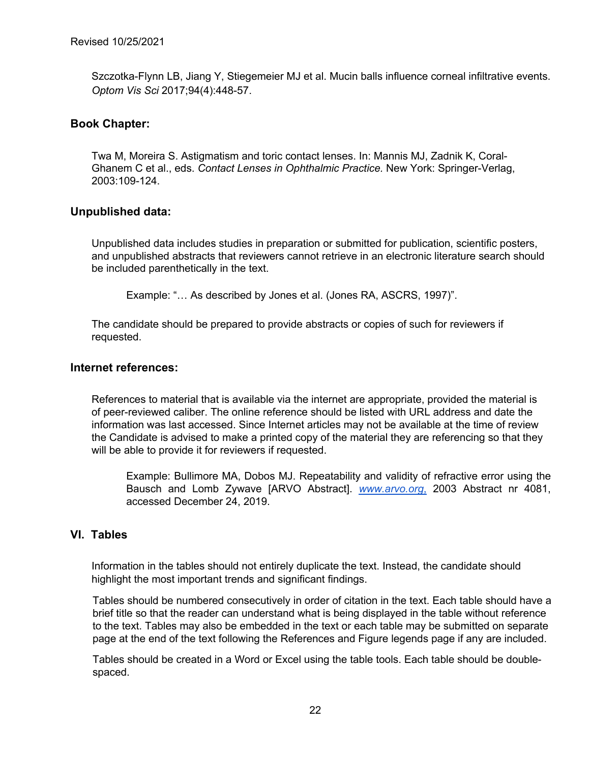Szczotka-Flynn LB, Jiang Y, Stiegemeier MJ et al. Mucin balls influence corneal infiltrative events. *Optom Vis Sci* 2017;94(4):448-57.

#### **Book Chapter:**

Twa M, Moreira S. Astigmatism and toric contact lenses. In: Mannis MJ, Zadnik K, Coral-Ghanem C et al., eds. *Contact Lenses in Ophthalmic Practice.* New York: Springer-Verlag, 2003:109-124.

#### **Unpublished data:**

Unpublished data includes studies in preparation or submitted for publication, scientific posters, and unpublished abstracts that reviewers cannot retrieve in an electronic literature search should be included parenthetically in the text.

Example: "… As described by Jones et al. (Jones RA, ASCRS, 1997)".

The candidate should be prepared to provide abstracts or copies of such for reviewers if requested.

#### **Internet references:**

References to material that is available via the internet are appropriate, provided the material is of peer-reviewed caliber. The online reference should be listed with URL address and date the information was last accessed. Since Internet articles may not be available at the time of review the Candidate is advised to make a printed copy of the material they are referencing so that they will be able to provide it for reviewers if requested.

Example: Bullimore MA, Dobos MJ. Repeatability and validity of refractive error using the Bausch and Lomb Zywave [ARVO Abstract]. *www.arvo.org*, 2003 Abstract nr 4081, accessed December 24, 2019.

#### **VI. Tables**

Information in the tables should not entirely duplicate the text. Instead, the candidate should highlight the most important trends and significant findings.

Tables should be numbered consecutively in order of citation in the text. Each table should have a brief title so that the reader can understand what is being displayed in the table without reference to the text. Tables may also be embedded in the text or each table may be submitted on separate page at the end of the text following the References and Figure legends page if any are included.

Tables should be created in a Word or Excel using the table tools. Each table should be doublespaced.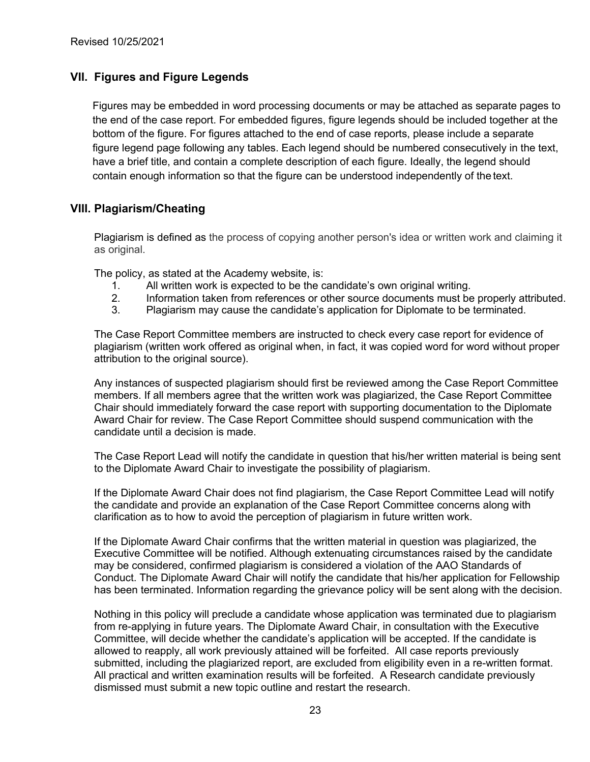#### **VII. Figures and Figure Legends**

Figures may be embedded in word processing documents or may be attached as separate pages to the end of the case report. For embedded figures, figure legends should be included together at the bottom of the figure. For figures attached to the end of case reports, please include a separate figure legend page following any tables. Each legend should be numbered consecutively in the text, have a brief title, and contain a complete description of each figure. Ideally, the legend should contain enough information so that the figure can be understood independently of the text.

#### **VIII. Plagiarism/Cheating**

Plagiarism is defined as the process of copying another person's idea or written work and claiming it as original.

The policy, as stated at the Academy website, is:

- 1. All written work is expected to be the candidate's own original writing.
- 2. Information taken from references or other source documents must be properly attributed.
- 3. Plagiarism may cause the candidate's application for Diplomate to be terminated.

The Case Report Committee members are instructed to check every case report for evidence of plagiarism (written work offered as original when, in fact, it was copied word for word without proper attribution to the original source).

Any instances of suspected plagiarism should first be reviewed among the Case Report Committee members. If all members agree that the written work was plagiarized, the Case Report Committee Chair should immediately forward the case report with supporting documentation to the Diplomate Award Chair for review. The Case Report Committee should suspend communication with the candidate until a decision is made.

The Case Report Lead will notify the candidate in question that his/her written material is being sent to the Diplomate Award Chair to investigate the possibility of plagiarism.

If the Diplomate Award Chair does not find plagiarism, the Case Report Committee Lead will notify the candidate and provide an explanation of the Case Report Committee concerns along with clarification as to how to avoid the perception of plagiarism in future written work.

If the Diplomate Award Chair confirms that the written material in question was plagiarized, the Executive Committee will be notified. Although extenuating circumstances raised by the candidate may be considered, confirmed plagiarism is considered a violation of the AAO Standards of Conduct. The Diplomate Award Chair will notify the candidate that his/her application for Fellowship has been terminated. Information regarding the grievance policy will be sent along with the decision.

Nothing in this policy will preclude a candidate whose application was terminated due to plagiarism from re-applying in future years. The Diplomate Award Chair, in consultation with the Executive Committee, will decide whether the candidate's application will be accepted. If the candidate is allowed to reapply, all work previously attained will be forfeited. All case reports previously submitted, including the plagiarized report, are excluded from eligibility even in a re-written format. All practical and written examination results will be forfeited. A Research candidate previously dismissed must submit a new topic outline and restart the research.